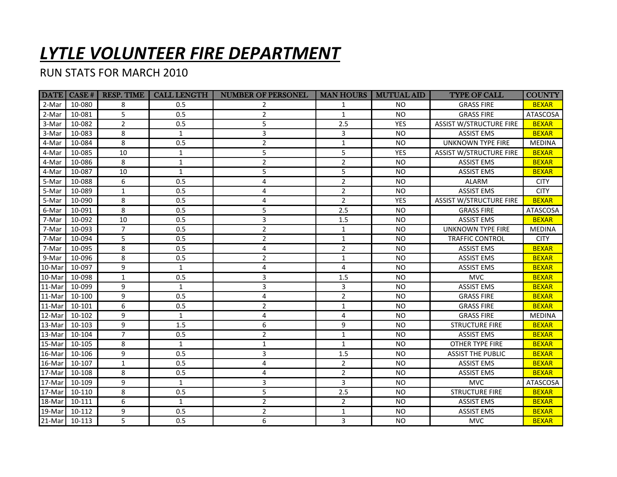## *LYTLE VOLUNTEER FIRE DEPARTMENT*

## RUN STATS FOR MARCH 2010

| 10-080<br>8<br><b>GRASS FIRE</b><br>2-Mar<br>$0.5^{\circ}$<br>$\mathbf{1}$<br><b>NO</b><br>2<br>5<br>$\overline{2}$<br>10-081<br>$\mathbf{1}$<br><b>NO</b><br>2-Mar<br>0.5<br><b>GRASS FIRE</b><br>$\overline{2}$<br>5<br>10-082<br>2.5<br><b>YES</b><br><b>ASSIST W/STRUCTURE FIRE</b><br>3-Mar<br>0.5<br>$\overline{3}$<br>8<br>10-083<br>3-Mar<br>3<br><b>NO</b><br><b>ASSIST EMS</b><br>$\mathbf{1}$<br>10-084<br>8<br>$\overline{2}$<br><b>UNKNOWN TYPE FIRE</b><br>4-Mar<br>0.5<br>$\mathbf{1}$<br><b>NO</b> | <b>BEXAR</b><br><b>ATASCOSA</b><br><b>BEXAR</b><br><b>BEXAR</b><br><b>MEDINA</b><br><b>BEXAR</b><br><b>BEXAR</b><br><b>BEXAR</b> |
|--------------------------------------------------------------------------------------------------------------------------------------------------------------------------------------------------------------------------------------------------------------------------------------------------------------------------------------------------------------------------------------------------------------------------------------------------------------------------------------------------------------------|----------------------------------------------------------------------------------------------------------------------------------|
|                                                                                                                                                                                                                                                                                                                                                                                                                                                                                                                    |                                                                                                                                  |
|                                                                                                                                                                                                                                                                                                                                                                                                                                                                                                                    |                                                                                                                                  |
|                                                                                                                                                                                                                                                                                                                                                                                                                                                                                                                    |                                                                                                                                  |
|                                                                                                                                                                                                                                                                                                                                                                                                                                                                                                                    |                                                                                                                                  |
|                                                                                                                                                                                                                                                                                                                                                                                                                                                                                                                    |                                                                                                                                  |
| 5<br>10-085<br>10<br>5<br>4-Mar<br>$\mathbf{1}$<br><b>YES</b><br><b>ASSIST W/STRUCTURE FIRE</b>                                                                                                                                                                                                                                                                                                                                                                                                                    |                                                                                                                                  |
| 8<br>$\overline{2}$<br>$\overline{2}$<br>10-086<br>$\mathbf{1}$<br><b>NO</b><br><b>ASSIST EMS</b><br>4-Mar                                                                                                                                                                                                                                                                                                                                                                                                         |                                                                                                                                  |
| 10-087<br>5<br>5<br>10<br>$\mathbf{1}$<br><b>NO</b><br>4-Mar<br><b>ASSIST EMS</b>                                                                                                                                                                                                                                                                                                                                                                                                                                  |                                                                                                                                  |
| 6<br>$\overline{2}$<br>10-088<br>0.5<br>4<br><b>NO</b><br>5-Mar<br>ALARM                                                                                                                                                                                                                                                                                                                                                                                                                                           | <b>CITY</b>                                                                                                                      |
| $\overline{2}$<br>10-089<br>$\mathbf{1}$<br>4<br>5-Mar<br>0.5<br><b>NO</b><br><b>ASSIST EMS</b>                                                                                                                                                                                                                                                                                                                                                                                                                    | <b>CITY</b>                                                                                                                      |
| 8<br>$\overline{2}$<br>10-090<br>4<br><b>YES</b><br><b>ASSIST W/STRUCTURE FIRE</b><br>5-Mar<br>0.5                                                                                                                                                                                                                                                                                                                                                                                                                 | <b>BEXAR</b>                                                                                                                     |
| 8<br>5<br>10-091<br>0.5<br>2.5<br><b>NO</b><br><b>GRASS FIRE</b><br>6-Mar                                                                                                                                                                                                                                                                                                                                                                                                                                          | <b>ATASCOSA</b>                                                                                                                  |
| 3<br>7-Mar<br>10-092<br>10<br>0.5<br>1.5<br><b>NO</b><br><b>ASSIST EMS</b>                                                                                                                                                                                                                                                                                                                                                                                                                                         | <b>BEXAR</b>                                                                                                                     |
| $\overline{7}$<br>$\overline{2}$<br>10-093<br>$\mathbf{1}$<br><b>UNKNOWN TYPE FIRE</b><br>7-Mar<br>0.5<br><b>NO</b>                                                                                                                                                                                                                                                                                                                                                                                                | <b>MEDINA</b>                                                                                                                    |
| 5<br>$\overline{2}$<br>$\mathbf{1}$<br>10-094<br>0.5<br><b>NO</b><br>7-Mar<br><b>TRAFFIC CONTROL</b>                                                                                                                                                                                                                                                                                                                                                                                                               | <b>CITY</b>                                                                                                                      |
| 8<br>4<br>$\overline{2}$<br>10-095<br>0.5<br><b>NO</b><br>7-Mar<br><b>ASSIST EMS</b>                                                                                                                                                                                                                                                                                                                                                                                                                               | <b>BEXAR</b>                                                                                                                     |
| 8<br>10-096<br>$\overline{2}$<br>0.5<br>$\mathbf{1}$<br><b>NO</b><br>9-Mar<br><b>ASSIST EMS</b>                                                                                                                                                                                                                                                                                                                                                                                                                    | <b>BEXAR</b>                                                                                                                     |
| 9<br>4<br>10-097<br>4<br><b>NO</b><br>10-Mar<br>$\mathbf{1}$<br><b>ASSIST EMS</b>                                                                                                                                                                                                                                                                                                                                                                                                                                  | <b>BEXAR</b>                                                                                                                     |
| 3<br>10-Mar<br>10-098<br>0.5<br>1.5<br>$\mathbf{1}$<br><b>NO</b><br><b>MVC</b>                                                                                                                                                                                                                                                                                                                                                                                                                                     | <b>BEXAR</b>                                                                                                                     |
| 11-Mar<br>3<br>10-099<br>9<br>3<br><b>ASSIST EMS</b><br>$\mathbf{1}$<br><b>NO</b>                                                                                                                                                                                                                                                                                                                                                                                                                                  | <b>BEXAR</b>                                                                                                                     |
| $11-Mar$<br>9<br>4<br>$\overline{2}$<br>10-100<br>0.5<br><b>NO</b><br><b>GRASS FIRE</b>                                                                                                                                                                                                                                                                                                                                                                                                                            | <b>BEXAR</b>                                                                                                                     |
| 11-Mar<br>6<br>10-101<br>0.5<br>$\overline{2}$<br>$\mathbf{1}$<br><b>GRASS FIRE</b><br><b>NO</b>                                                                                                                                                                                                                                                                                                                                                                                                                   | <b>BEXAR</b>                                                                                                                     |
| $\sqrt{12}$ -Mar<br>9<br>10-102<br>$\mathbf{1}$<br>$\overline{4}$<br>4<br><b>NO</b><br><b>GRASS FIRE</b>                                                                                                                                                                                                                                                                                                                                                                                                           | <b>MEDINA</b>                                                                                                                    |
| $13-Mar$<br>9<br>1.5<br>6<br>9<br>10-103<br><b>NO</b><br><b>STRUCTURE FIRE</b>                                                                                                                                                                                                                                                                                                                                                                                                                                     | <b>BEXAR</b>                                                                                                                     |
| 13-Mar<br>$\overline{7}$<br>$\overline{2}$<br>$\mathbf{1}$<br>10-104<br>0.5<br><b>NO</b><br><b>ASSIST EMS</b>                                                                                                                                                                                                                                                                                                                                                                                                      | <b>BEXAR</b>                                                                                                                     |
| 15-Mar<br>8<br>$\mathbf{1}$<br>10-105<br>$\mathbf{1}$<br><b>NO</b><br>OTHER TYPE FIRE<br>1                                                                                                                                                                                                                                                                                                                                                                                                                         | <b>BEXAR</b>                                                                                                                     |
| 9<br>3<br>16-Mar<br>10-106<br>0.5<br>1.5<br><b>NO</b><br><b>ASSIST THE PUBLIC</b>                                                                                                                                                                                                                                                                                                                                                                                                                                  | <b>BEXAR</b>                                                                                                                     |
| 16-Mar<br>$\mathbf{1}$<br>4<br>$\overline{2}$<br>10-107<br>0.5<br><b>NO</b><br><b>ASSIST EMS</b>                                                                                                                                                                                                                                                                                                                                                                                                                   | <b>BEXAR</b>                                                                                                                     |
| $17-Mar$<br>8<br>$\overline{2}$<br>10-108<br>4<br><b>NO</b><br><b>ASSIST EMS</b><br>0.5                                                                                                                                                                                                                                                                                                                                                                                                                            | <b>BEXAR</b>                                                                                                                     |
| $\sqrt{17}$ -Mar<br>9<br>3<br>3<br>10-109<br>$\mathbf{1}$<br><b>MVC</b><br><b>NO</b>                                                                                                                                                                                                                                                                                                                                                                                                                               | <b>ATASCOSA</b>                                                                                                                  |
| $17$ -Mar<br>8<br>5<br>0.5<br>2.5<br><b>STRUCTURE FIRE</b><br>10-110<br><b>NO</b>                                                                                                                                                                                                                                                                                                                                                                                                                                  | <b>BEXAR</b>                                                                                                                     |
| 18-Mar<br>$\overline{2}$<br>6<br>$\overline{2}$<br>10-111<br>$\mathbf{1}$<br><b>NO</b><br><b>ASSIST EMS</b>                                                                                                                                                                                                                                                                                                                                                                                                        | <b>BEXAR</b>                                                                                                                     |
| 9<br>$\overline{2}$<br>19-Mar<br>10-112<br>0.5<br>$\mathbf{1}$<br><b>NO</b><br><b>ASSIST EMS</b>                                                                                                                                                                                                                                                                                                                                                                                                                   | <b>BEXAR</b>                                                                                                                     |
| 6<br>5<br>3<br>21-Mar 10-113<br>0.5<br><b>NO</b><br><b>MVC</b>                                                                                                                                                                                                                                                                                                                                                                                                                                                     | <b>BEXAR</b>                                                                                                                     |